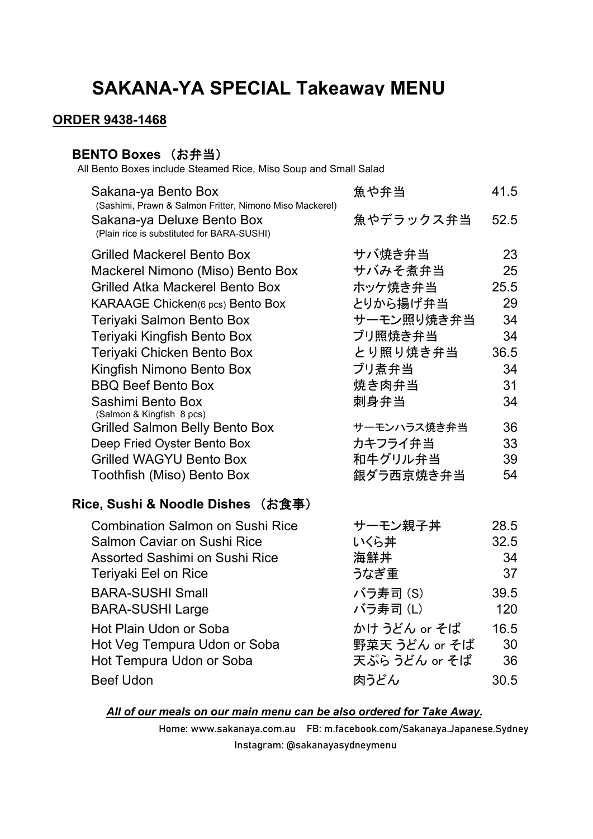## **SAKANA-YA SPECIAL Takeaway MENU**

### **ORDER 9438-1468**

### **BENTO Boxes (お弁当)**

All Bento Boxes include Steamed Rice, Miso Soup and Small Salad

| Sakana-ya Bento Box<br>(Sashimi, Prawn & Salmon Fritter, Nimono Miso Mackerel) | 魚や弁当          | 41.5 |
|--------------------------------------------------------------------------------|---------------|------|
| Sakana-ya Deluxe Bento Box<br>(Plain rice is substituted for BARA-SUSHI)       | 魚やデラックス弁当     | 52.5 |
| <b>Grilled Mackerel Bento Box</b>                                              | サバ焼き弁当        | 23   |
| Mackerel Nimono (Miso) Bento Box                                               | サバみそ煮弁当       | 25   |
| <b>Grilled Atka Mackerel Bento Box</b>                                         | ホッケ焼き弁当       | 25.5 |
| KARAAGE Chicken(6 pcs) Bento Box                                               | とりから揚げ弁当      | 29   |
| Teriyaki Salmon Bento Box                                                      | サーモン照り焼き弁当    | 34   |
| Teriyaki Kingfish Bento Box                                                    | ブリ照焼き弁当       | 34   |
| Teriyaki Chicken Bento Box                                                     | とり照り焼き弁当      | 36.5 |
| Kingfish Nimono Bento Box                                                      | ブリ煮弁当         | 34   |
| <b>BBQ Beef Bento Box</b>                                                      | 焼き肉弁当         | 31   |
| Sashimi Bento Box                                                              | 刺身弁当          | 34   |
| (Salmon & Kingfish 8 pcs)<br><b>Grilled Salmon Belly Bento Box</b>             | サーモンハラス焼き弁当   | 36   |
| Deep Fried Oyster Bento Box                                                    | カキフライ弁当       | 33   |
| <b>Grilled WAGYU Bento Box</b>                                                 | 和牛グリル弁当       | 39   |
| Toothfish (Miso) Bento Box                                                     | 銀ダラ西京焼き弁当     | 54   |
| Rice, Sushi & Noodle Dishes (お食事)                                              |               |      |
| <b>Combination Salmon on Sushi Rice</b>                                        | サーモン親子丼       | 28.5 |
| Salmon Caviar on Sushi Rice                                                    | いくら丼          | 32.5 |
| <b>Assorted Sashimi on Sushi Rice</b>                                          | 海鮮丼           | 34   |
| Teriyaki Eel on Rice                                                           | うなぎ重          | 37   |
| <b>BARA-SUSHI Small</b>                                                        | バラ寿司 (S)      | 39.5 |
| <b>BARA-SUSHI Large</b>                                                        | バラ寿司(L)       | 120  |
| Hot Plain Udon or Soba                                                         | かけ うどん or そば  | 16.5 |
| Hot Veg Tempura Udon or Soba                                                   | 野菜天 うどん or そば | 30   |
| Hot Tempura Udon or Soba                                                       | 天ぷら うどん or そば | 36   |
| <b>Beef Udon</b>                                                               | 肉うどん          | 30.5 |
|                                                                                |               |      |

#### *All of our meals on our main menu can be also ordered for Take Away.*

Home: www.sakanaya.com.au FB: m.facebook.com/Sakanaya.Japanese.Sydney Instagram: @sakanayasydneymenu